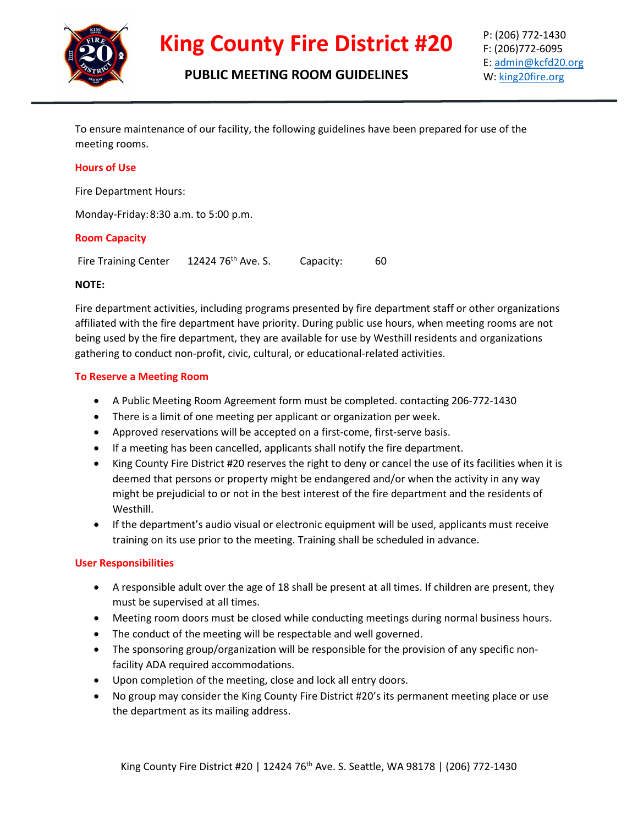

# **King County Fire District #20** P: (206) 772-1430

# **PUBLIC MEETING ROOM GUIDELINES** W: [king20fire.org](http://www.king20fire.org/)

F: (206)772-6095 E: [admin@kcfd20.org](mailto:admin@kcfd20.org)

To ensure maintenance of our facility, the following guidelines have been prepared for use of the meeting rooms.

# **Hours of Use**

Fire Department Hours:

Monday-Friday:8:30 a.m. to 5:00 p.m.

# **Room Capacity**

Fire Training Center 12424 76<sup>th</sup> Ave. S. Capacity: 60

#### **NOTE:**

Fire department activities, including programs presented by fire department staff or other organizations affiliated with the fire department have priority. During public use hours, when meeting rooms are not being used by the fire department, they are available for use by Westhill residents and organizations gathering to conduct non-profit, civic, cultural, or educational-related activities.

# **To Reserve a Meeting Room**

- A Public Meeting Room Agreement form must be completed. contacting 206-772-1430
- There is a limit of one meeting per applicant or organization per week.
- Approved reservations will be accepted on a first-come, first-serve basis.
- If a meeting has been cancelled, applicants shall notify the fire department.
- King County Fire District #20 reserves the right to deny or cancel the use of its facilities when it is deemed that persons or property might be endangered and/or when the activity in any way might be prejudicial to or not in the best interest of the fire department and the residents of Westhill.
- If the department's audio visual or electronic equipment will be used, applicants must receive training on its use prior to the meeting. Training shall be scheduled in advance.

#### **User Responsibilities**

- A responsible adult over the age of 18 shall be present at all times. If children are present, they must be supervised at all times.
- Meeting room doors must be closed while conducting meetings during normal business hours.
- The conduct of the meeting will be respectable and well governed.
- The sponsoring group/organization will be responsible for the provision of any specific nonfacility ADA required accommodations.
- Upon completion of the meeting, close and lock all entry doors.
- No group may consider the King County Fire District #20's its permanent meeting place or use the department as its mailing address.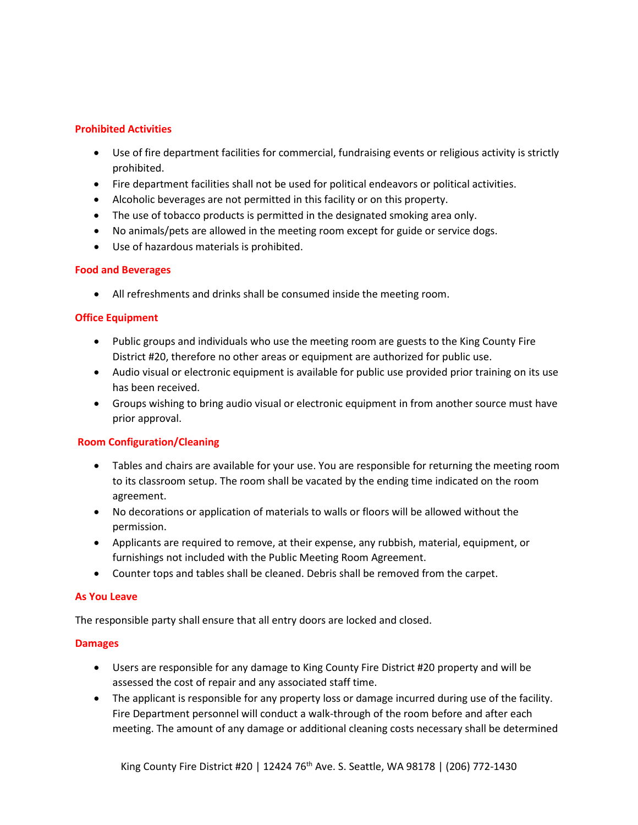# **Prohibited Activities**

- Use of fire department facilities for commercial, fundraising events or religious activity is strictly prohibited.
- Fire department facilities shall not be used for political endeavors or political activities.
- Alcoholic beverages are not permitted in this facility or on this property.
- The use of tobacco products is permitted in the designated smoking area only.
- No animals/pets are allowed in the meeting room except for guide or service dogs.
- Use of hazardous materials is prohibited.

# **Food and Beverages**

• All refreshments and drinks shall be consumed inside the meeting room.

# **Office Equipment**

- Public groups and individuals who use the meeting room are guests to the King County Fire District #20, therefore no other areas or equipment are authorized for public use.
- Audio visual or electronic equipment is available for public use provided prior training on its use has been received.
- Groups wishing to bring audio visual or electronic equipment in from another source must have prior approval.

# **Room Configuration/Cleaning**

- Tables and chairs are available for your use. You are responsible for returning the meeting room to its classroom setup. The room shall be vacated by the ending time indicated on the room agreement.
- No decorations or application of materials to walls or floors will be allowed without the permission.
- Applicants are required to remove, at their expense, any rubbish, material, equipment, or furnishings not included with the Public Meeting Room Agreement.
- Counter tops and tables shall be cleaned. Debris shall be removed from the carpet.

#### **As You Leave**

The responsible party shall ensure that all entry doors are locked and closed.

#### **Damages**

- Users are responsible for any damage to King County Fire District #20 property and will be assessed the cost of repair and any associated staff time.
- The applicant is responsible for any property loss or damage incurred during use of the facility. Fire Department personnel will conduct a walk-through of the room before and after each meeting. The amount of any damage or additional cleaning costs necessary shall be determined